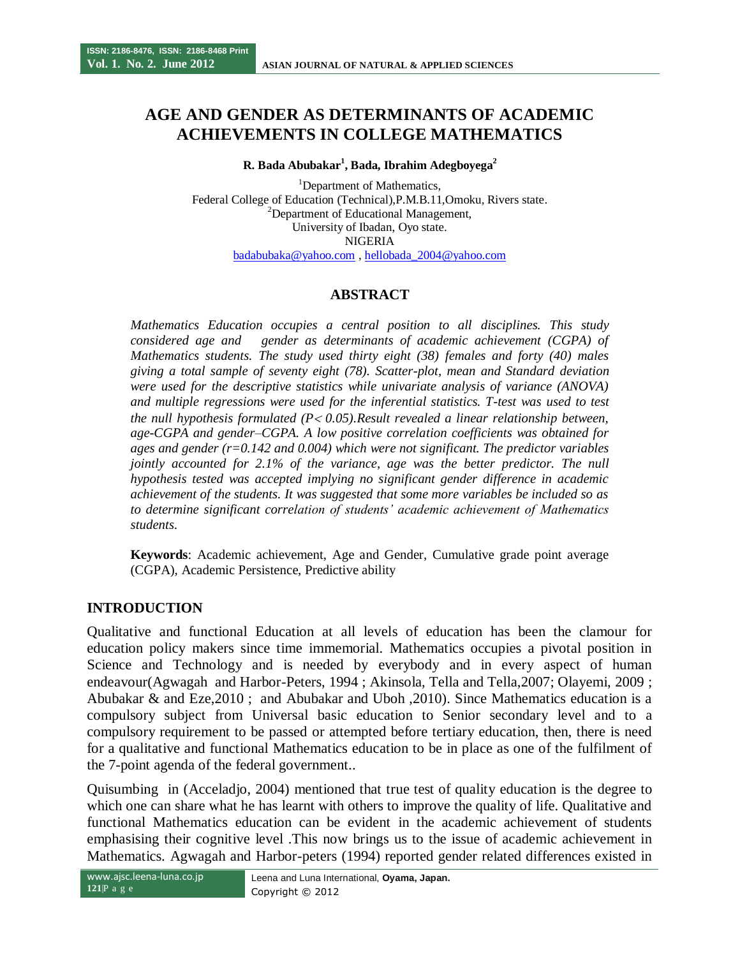# **AGE AND GENDER AS DETERMINANTS OF ACADEMIC ACHIEVEMENTS IN COLLEGE MATHEMATICS**

#### **R. Bada Abubakar<sup>1</sup> , Bada, Ibrahim Adegboyega<sup>2</sup>**

<sup>1</sup>Department of Mathematics, Federal College of Education (Technical),P.M.B.11,Omoku, Rivers state. <sup>2</sup>Department of Educational Management, University of Ibadan, Oyo state. NIGERIA [badabubaka@yahoo.com](mailto:badabubaka@yahoo.com) [, hellobada\\_2004@yahoo.com](mailto:hellobada_2004@yahoo.com)

### **ABSTRACT**

*Mathematics Education occupies a central position to all disciplines. This study considered age and gender as determinants of academic achievement (CGPA) of Mathematics students. The study used thirty eight (38) females and forty (40) males giving a total sample of seventy eight (78). Scatter-plot, mean and Standard deviation were used for the descriptive statistics while univariate analysis of variance (ANOVA) and multiple regressions were used for the inferential statistics. T-test was used to test the null hypothesis formulated (P 0.05).Result revealed a linear relationship between, age-CGPA and gender–CGPA. A low positive correlation coefficients was obtained for ages and gender (r=0.142 and 0.004) which were not significant. The predictor variables jointly accounted for 2.1% of the variance, age was the better predictor. The null hypothesis tested was accepted implying no significant gender difference in academic achievement of the students. It was suggested that some more variables be included so as to determine significant correlation of students' academic achievement of Mathematics students.*

**Keywords**: Academic achievement, Age and Gender, Cumulative grade point average (CGPA), Academic Persistence, Predictive ability

### **INTRODUCTION**

Qualitative and functional Education at all levels of education has been the clamour for education policy makers since time immemorial. Mathematics occupies a pivotal position in Science and Technology and is needed by everybody and in every aspect of human endeavour(Agwagah and Harbor-Peters, 1994 ; Akinsola, Tella and Tella,2007; Olayemi, 2009 ; Abubakar & and Eze,2010 ; and Abubakar and Uboh ,2010). Since Mathematics education is a compulsory subject from Universal basic education to Senior secondary level and to a compulsory requirement to be passed or attempted before tertiary education, then, there is need for a qualitative and functional Mathematics education to be in place as one of the fulfilment of the 7-point agenda of the federal government..

Quisumbing in (Acceladjo, 2004) mentioned that true test of quality education is the degree to which one can share what he has learnt with others to improve the quality of life. Qualitative and functional Mathematics education can be evident in the academic achievement of students emphasising their cognitive level .This now brings us to the issue of academic achievement in Mathematics. Agwagah and Harbor-peters (1994) reported gender related differences existed in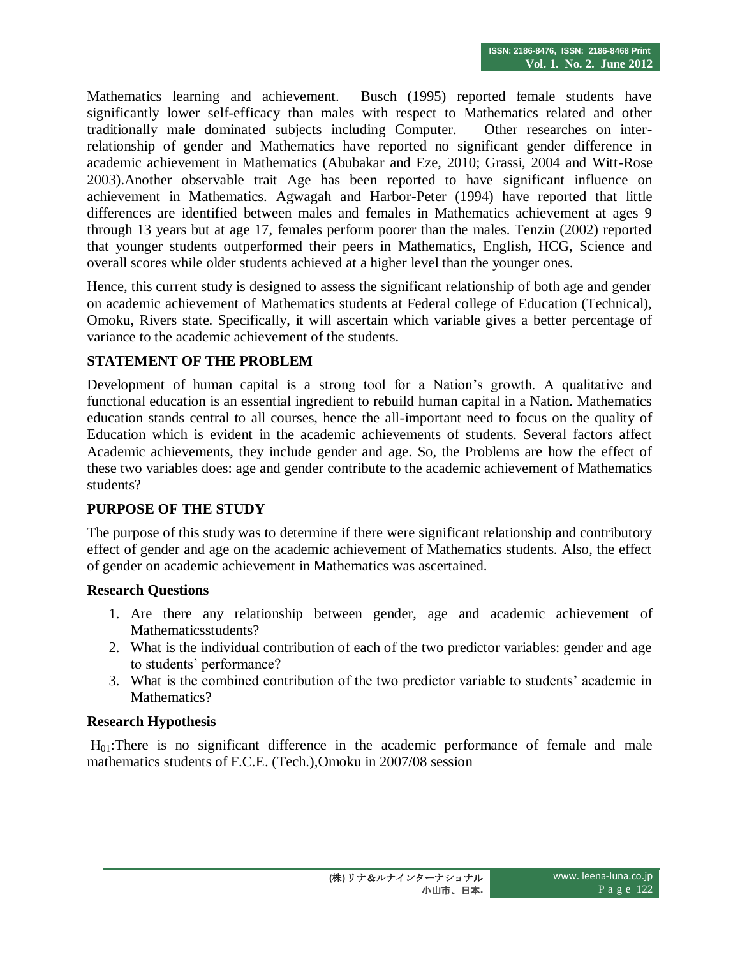Mathematics learning and achievement. Busch (1995) reported female students have significantly lower self-efficacy than males with respect to Mathematics related and other traditionally male dominated subjects including Computer. Other researches on interrelationship of gender and Mathematics have reported no significant gender difference in academic achievement in Mathematics (Abubakar and Eze, 2010; Grassi, 2004 and Witt-Rose 2003).Another observable trait Age has been reported to have significant influence on achievement in Mathematics. Agwagah and Harbor-Peter (1994) have reported that little differences are identified between males and females in Mathematics achievement at ages 9 through 13 years but at age 17, females perform poorer than the males. Tenzin (2002) reported that younger students outperformed their peers in Mathematics, English, HCG, Science and overall scores while older students achieved at a higher level than the younger ones.

Hence, this current study is designed to assess the significant relationship of both age and gender on academic achievement of Mathematics students at Federal college of Education (Technical), Omoku, Rivers state. Specifically, it will ascertain which variable gives a better percentage of variance to the academic achievement of the students.

### **STATEMENT OF THE PROBLEM**

Development of human capital is a strong tool for a Nation's growth. A qualitative and functional education is an essential ingredient to rebuild human capital in a Nation. Mathematics education stands central to all courses, hence the all-important need to focus on the quality of Education which is evident in the academic achievements of students. Several factors affect Academic achievements, they include gender and age. So, the Problems are how the effect of these two variables does: age and gender contribute to the academic achievement of Mathematics students?

### **PURPOSE OF THE STUDY**

The purpose of this study was to determine if there were significant relationship and contributory effect of gender and age on the academic achievement of Mathematics students. Also, the effect of gender on academic achievement in Mathematics was ascertained.

### **Research Questions**

- 1. Are there any relationship between gender, age and academic achievement of Mathematicsstudents?
- 2. What is the individual contribution of each of the two predictor variables: gender and age to students' performance?
- 3. What is the combined contribution of the two predictor variable to students' academic in Mathematics?

### **Research Hypothesis**

 $H<sub>01</sub>$ :There is no significant difference in the academic performance of female and male mathematics students of F.C.E. (Tech.),Omoku in 2007/08 session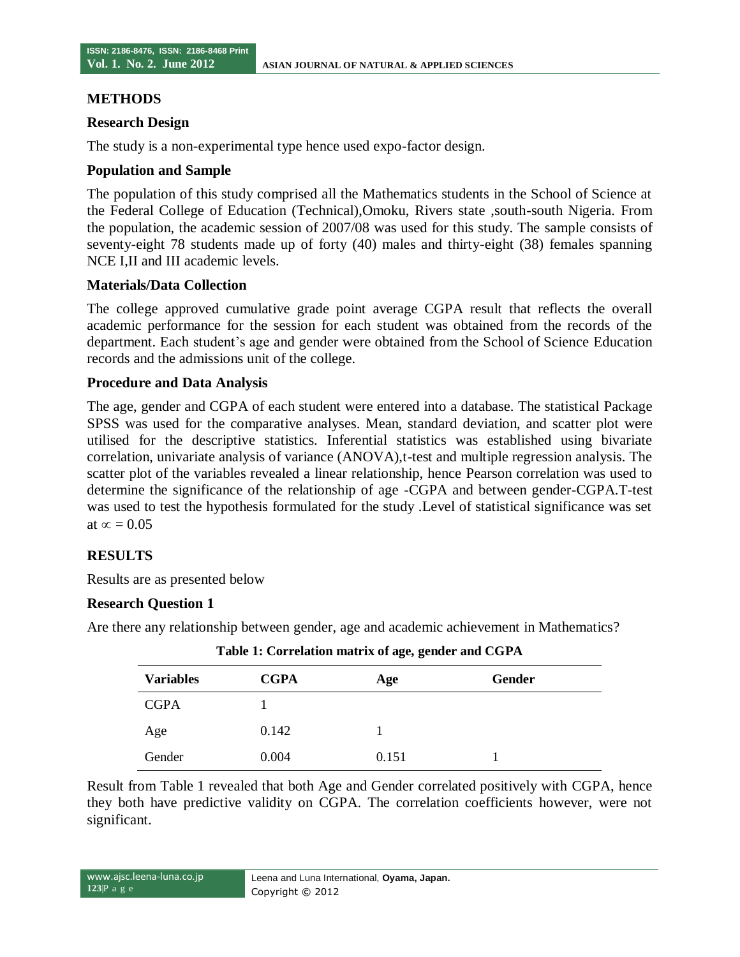#### **METHODS**

#### **Research Design**

The study is a non-experimental type hence used expo-factor design.

#### **Population and Sample**

The population of this study comprised all the Mathematics students in the School of Science at the Federal College of Education (Technical),Omoku, Rivers state ,south-south Nigeria. From the population, the academic session of 2007/08 was used for this study. The sample consists of seventy-eight 78 students made up of forty (40) males and thirty-eight (38) females spanning NCE I,II and III academic levels.

#### **Materials/Data Collection**

The college approved cumulative grade point average CGPA result that reflects the overall academic performance for the session for each student was obtained from the records of the department. Each student's age and gender were obtained from the School of Science Education records and the admissions unit of the college.

#### **Procedure and Data Analysis**

The age, gender and CGPA of each student were entered into a database. The statistical Package SPSS was used for the comparative analyses. Mean, standard deviation, and scatter plot were utilised for the descriptive statistics. Inferential statistics was established using bivariate correlation, univariate analysis of variance (ANOVA),t-test and multiple regression analysis. The scatter plot of the variables revealed a linear relationship, hence Pearson correlation was used to determine the significance of the relationship of age -CGPA and between gender-CGPA.T-test was used to test the hypothesis formulated for the study .Level of statistical significance was set at  $\alpha = 0.05$ 

### **RESULTS**

Results are as presented below

#### **Research Question 1**

Are there any relationship between gender, age and academic achievement in Mathematics?

| <b>Variables</b> | <b>CGPA</b> | Age   | Gender |  |
|------------------|-------------|-------|--------|--|
| <b>CGPA</b>      |             |       |        |  |
| Age              | 0.142       |       |        |  |
| Gender           | 0.004       | 0.151 |        |  |

**Table 1: Correlation matrix of age, gender and CGPA**

Result from Table 1 revealed that both Age and Gender correlated positively with CGPA, hence they both have predictive validity on CGPA. The correlation coefficients however, were not significant.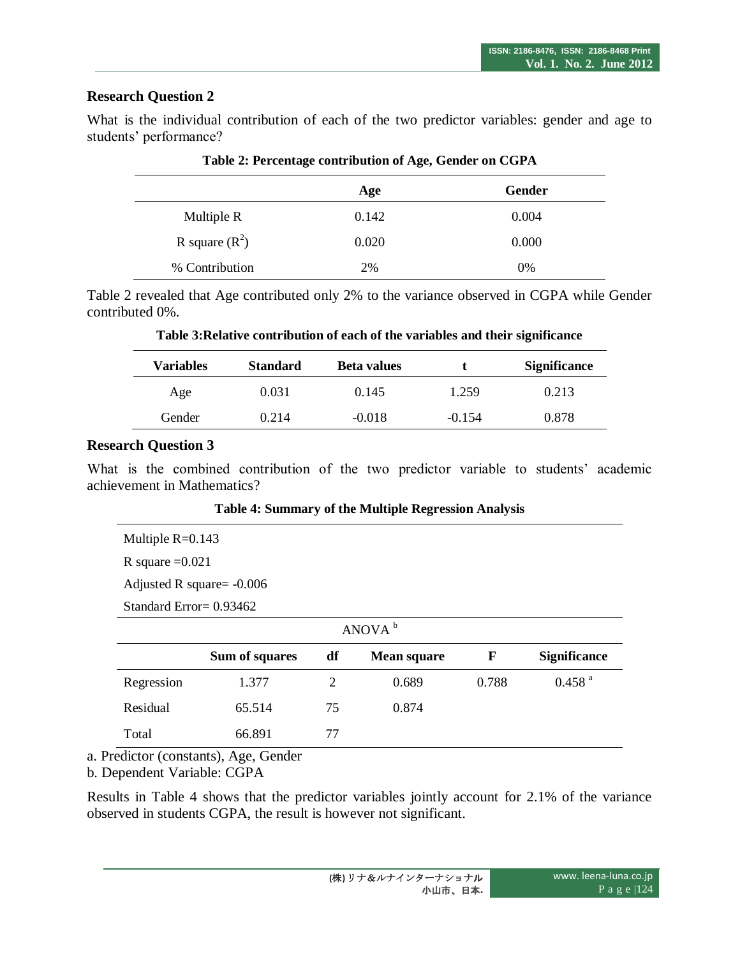## **Research Question 2**

What is the individual contribution of each of the two predictor variables: gender and age to students' performance?

|                  | Age   | Gender |
|------------------|-------|--------|
| Multiple R       | 0.142 | 0.004  |
| R square $(R^2)$ | 0.020 | 0.000  |
| % Contribution   | 2%    | 0%     |

|  | Table 2: Percentage contribution of Age, Gender on CGPA |  |  |
|--|---------------------------------------------------------|--|--|
|  |                                                         |  |  |

Table 2 revealed that Age contributed only 2% to the variance observed in CGPA while Gender contributed 0%.

| Variables | <b>Standard</b> | <b>Beta values</b> |          | <b>Significance</b> |
|-----------|-----------------|--------------------|----------|---------------------|
| Age       | 0.031           | 0.145              | 1.259    | 0.213               |
| Gender    | 0.214           | $-0.018$           | $-0.154$ | 0.878               |

**Table 3:Relative contribution of each of the variables and their significance**

### **Research Question 3**

What is the combined contribution of the two predictor variable to students' academic achievement in Mathematics?

| Multiple $R=0.143$                                                     |                           |  |       |       |                      |  |  |
|------------------------------------------------------------------------|---------------------------|--|-------|-------|----------------------|--|--|
| R square $=0.021$                                                      |                           |  |       |       |                      |  |  |
| Adjusted R square= $-0.006$                                            |                           |  |       |       |                      |  |  |
|                                                                        | Standard Error= $0.93462$ |  |       |       |                      |  |  |
| $ANOVA^b$                                                              |                           |  |       |       |                      |  |  |
| df<br>F<br><b>Significance</b><br>Sum of squares<br><b>Mean square</b> |                           |  |       |       |                      |  |  |
| Regression                                                             | 1.377                     |  | 0.689 | 0.788 | $0.458$ <sup>a</sup> |  |  |

a. Predictor (constants), Age, Gender

Total 66.891 77

Residual 65.514 75 0.874

b. Dependent Variable: CGPA

Results in Table 4 shows that the predictor variables jointly account for 2.1% of the variance observed in students CGPA, the result is however not significant.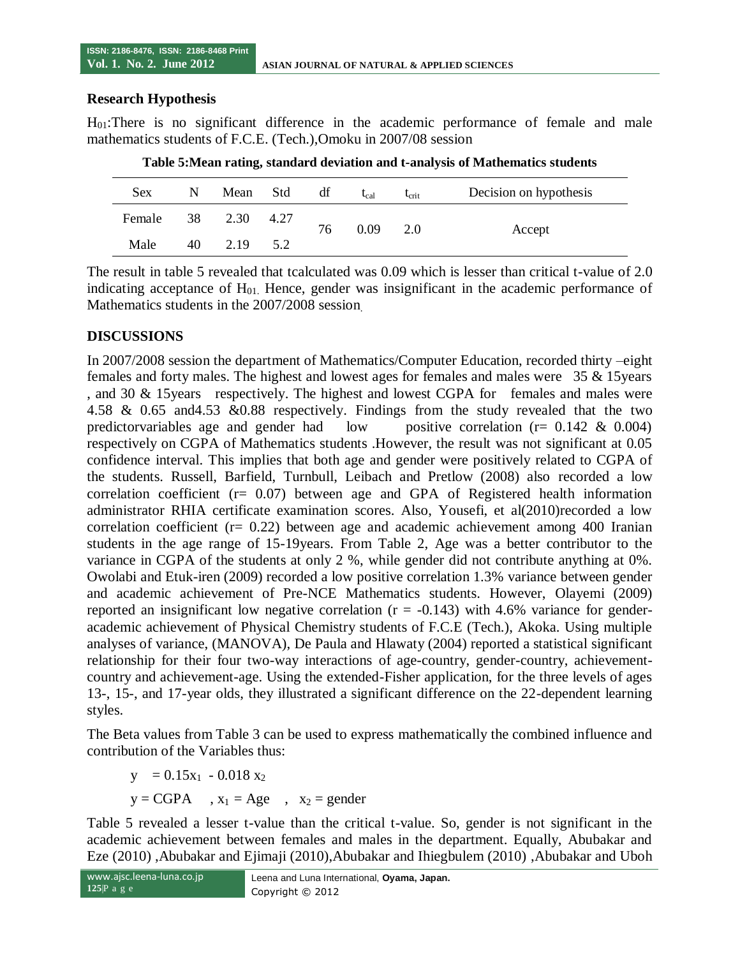### **Research Hypothesis**

 $H<sub>01</sub>$ :There is no significant difference in the academic performance of female and male mathematics students of F.C.E. (Tech.),Omoku in 2007/08 session

| <b>Sex</b> | N  | Mean Std df  |     |    | $t_{cal}$ | $t_{\rm crit}$ | Decision on hypothesis |
|------------|----|--------------|-----|----|-----------|----------------|------------------------|
| Female     |    | 38 2.30 4.27 |     | 76 | 0.09      | 2.0            | Accept                 |
| Male       | 40 | 2.19         | 5.2 |    |           |                |                        |

**Table 5:Mean rating, standard deviation and t-analysis of Mathematics students**

The result in table 5 revealed that tcalculated was 0.09 which is lesser than critical t-value of 2.0 indicating acceptance of  $H<sub>01</sub>$ . Hence, gender was insignificant in the academic performance of Mathematics students in the 2007/2008 session.

### **DISCUSSIONS**

In 2007/2008 session the department of Mathematics/Computer Education, recorded thirty –eight females and forty males. The highest and lowest ages for females and males were 35 & 15years , and 30 & 15years respectively. The highest and lowest CGPA for females and males were 4.58 & 0.65 and4.53 &0.88 respectively. Findings from the study revealed that the two predictorvariables age and gender had low positive correlation (r= 0.142 & 0.004) respectively on CGPA of Mathematics students .However, the result was not significant at 0.05 confidence interval. This implies that both age and gender were positively related to CGPA of the students. Russell, Barfield, Turnbull, Leibach and Pretlow (2008) also recorded a low correlation coefficient ( $r = 0.07$ ) between age and GPA of Registered health information administrator RHIA certificate examination scores. Also, Yousefi, et al(2010)recorded a low correlation coefficient (r= 0.22) between age and academic achievement among 400 Iranian students in the age range of 15-19years. From Table 2, Age was a better contributor to the variance in CGPA of the students at only 2 %, while gender did not contribute anything at 0%. Owolabi and Etuk-iren (2009) recorded a low positive correlation 1.3% variance between gender and academic achievement of Pre-NCE Mathematics students. However, Olayemi (2009) reported an insignificant low negative correlation  $(r = -0.143)$  with 4.6% variance for genderacademic achievement of Physical Chemistry students of F.C.E (Tech.), Akoka. Using multiple analyses of variance, (MANOVA), De Paula and Hlawaty (2004) reported a statistical significant relationship for their four two-way interactions of age-country, gender-country, achievementcountry and achievement-age. Using the extended-Fisher application, for the three levels of ages 13-, 15-, and 17-year olds, they illustrated a significant difference on the 22-dependent learning styles.

The Beta values from Table 3 can be used to express mathematically the combined influence and contribution of the Variables thus:

 $y = 0.15x_1 - 0.018 x_2$ 

$$
y = CGPA
$$
,  $x_1 = Age$ ,  $x_2 = gender$ 

Table 5 revealed a lesser t-value than the critical t-value. So, gender is not significant in the academic achievement between females and males in the department. Equally, Abubakar and Eze (2010) ,Abubakar and Ejimaji (2010),Abubakar and Ihiegbulem (2010) ,Abubakar and Uboh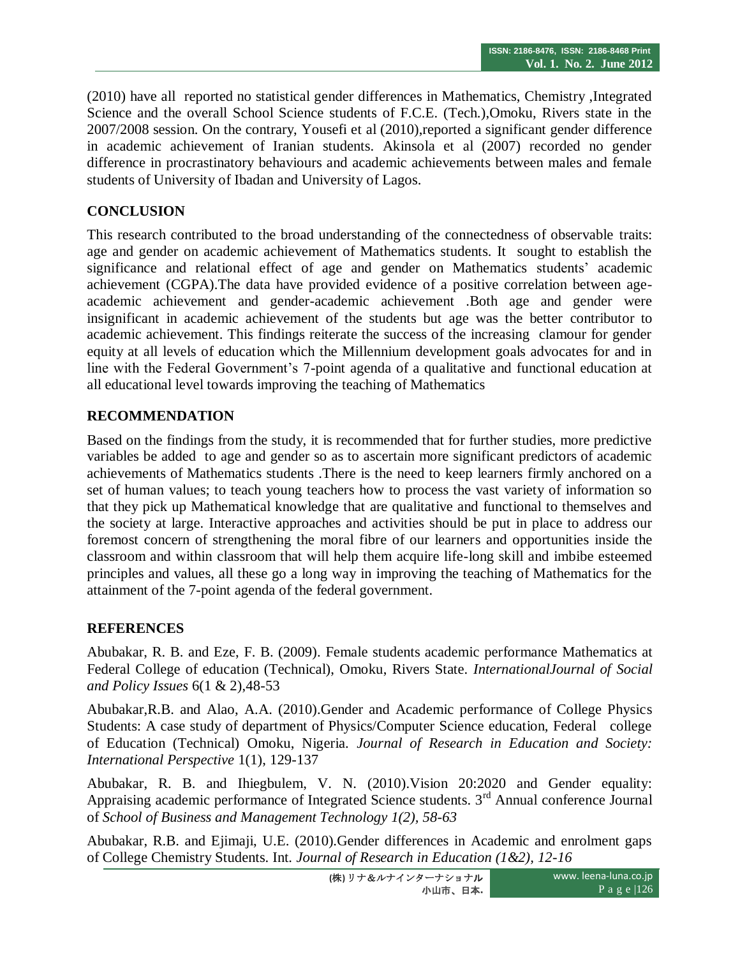(2010) have all reported no statistical gender differences in Mathematics, Chemistry ,Integrated Science and the overall School Science students of F.C.E. (Tech.),Omoku, Rivers state in the 2007/2008 session. On the contrary, Yousefi et al (2010),reported a significant gender difference in academic achievement of Iranian students. Akinsola et al (2007) recorded no gender difference in procrastinatory behaviours and academic achievements between males and female students of University of Ibadan and University of Lagos.

## **CONCLUSION**

This research contributed to the broad understanding of the connectedness of observable traits: age and gender on academic achievement of Mathematics students. It sought to establish the significance and relational effect of age and gender on Mathematics students' academic achievement (CGPA).The data have provided evidence of a positive correlation between ageacademic achievement and gender-academic achievement .Both age and gender were insignificant in academic achievement of the students but age was the better contributor to academic achievement. This findings reiterate the success of the increasing clamour for gender equity at all levels of education which the Millennium development goals advocates for and in line with the Federal Government's 7-point agenda of a qualitative and functional education at all educational level towards improving the teaching of Mathematics

## **RECOMMENDATION**

Based on the findings from the study, it is recommended that for further studies, more predictive variables be added to age and gender so as to ascertain more significant predictors of academic achievements of Mathematics students .There is the need to keep learners firmly anchored on a set of human values; to teach young teachers how to process the vast variety of information so that they pick up Mathematical knowledge that are qualitative and functional to themselves and the society at large. Interactive approaches and activities should be put in place to address our foremost concern of strengthening the moral fibre of our learners and opportunities inside the classroom and within classroom that will help them acquire life-long skill and imbibe esteemed principles and values, all these go a long way in improving the teaching of Mathematics for the attainment of the 7-point agenda of the federal government.

### **REFERENCES**

Abubakar, R. B. and Eze, F. B. (2009). Female students academic performance Mathematics at Federal College of education (Technical), Omoku, Rivers State. *InternationalJournal of Social and Policy Issues* 6(1 & 2),48-53

Abubakar,R.B. and Alao, A.A. (2010).Gender and Academic performance of College Physics Students: A case study of department of Physics/Computer Science education, Federal college of Education (Technical) Omoku, Nigeria. *Journal of Research in Education and Society: International Perspective* 1(1), 129-137

Abubakar, R. B. and Ihiegbulem, V. N. (2010).Vision 20:2020 and Gender equality: Appraising academic performance of Integrated Science students. 3<sup>rd</sup> Annual conference Journal of *School of Business and Management Technology 1(2), 58-63*

Abubakar, R.B. and Ejimaji, U.E. (2010).Gender differences in Academic and enrolment gaps of College Chemistry Students. Int. *Journal of Research in Education (1&2), 12-16*